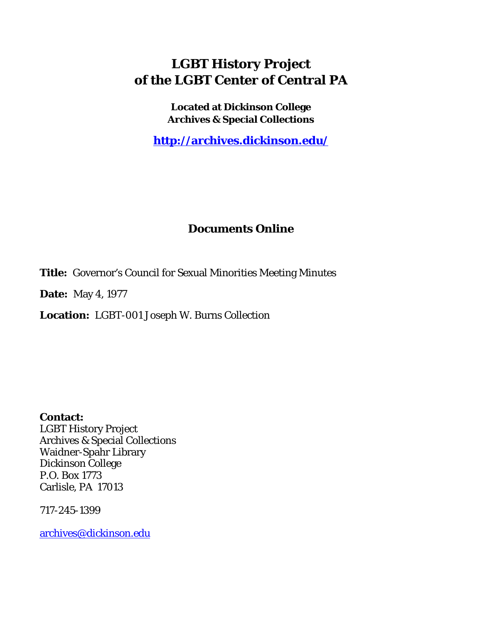# **LGBT History Project of the LGBT Center of Central PA**

**Located at Dickinson College Archives & Special Collections**

**<http://archives.dickinson.edu/>**

### **Documents Online**

**Title:** Governor's Council for Sexual Minorities Meeting Minutes

**Date:** May 4, 1977

**Location:** LGBT-001 Joseph W. Burns Collection

**Contact:**  LGBT History Project Archives & Special Collections Waidner-Spahr Library Dickinson College P.O. Box 1773 Carlisle, PA 17013

717-245-1399

[archives@dickinson.edu](mailto:archives@dickinson.edu)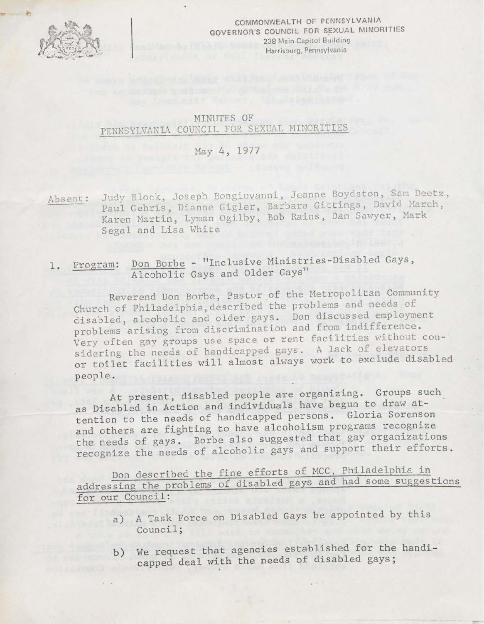

COMMONWEALTH OF PENNSYLVANIA GOVERNOR'S COUNCIL FOR SEXUAL MINORITIES 238 Main Capitol Building Harrisburg, Pennsylvania

### MINUTES OF PENNSYLVANIA COUNCIL FOR SEXUAL MINORITIES

#### May 4, 1977

Absent: Judy Block, Joseph Bongiovanni, Jeanne Boydston, Sam Deetz, Paul Gehris, Dianne Gigler, Barbara Gittings, David March, Karen Martin, Lyman Ogilby, Bob Rains, Dan Sawyer, Mark Segal and Lisa White

## 1. Program: Don Borbe - "Inclusive Ministries-Disabled Gays, Alcoholic Gays and Older Gays"

Reverend Don Borbe, Pastor of the Metropolitan Community Church of Philadelphia, described the problems and needs of disabled, alcoholic and older gays. Don discussed employment problems arising from discrimination and from indifference. Very often gay groups use space or rent facilities without considering the needs of handicapped gays. <sup>A</sup> lack of elevators or toilet facilities will almost always work to exclude disabled people.

At present, disabled people are organizing. Groups such as Disabled in Action and individuals have begun to draw attention to the needs of handicapped persons. Gloria Sorenson and others are fighting to have alcoholism programs recognize the needs of gays. Borbe also suggested that gay organizations recognize the needs of alcoholic gays and support their efforts.

Don described the fine efforts of MCC, Philadelphia in addressing the problems of disabled gays and had some suggestions for our Council:

- a) A Task Force on Disabled Gays be appointed by this Council;
- b) We request that agencies established for the handicapped deal with the needs of disabled gays;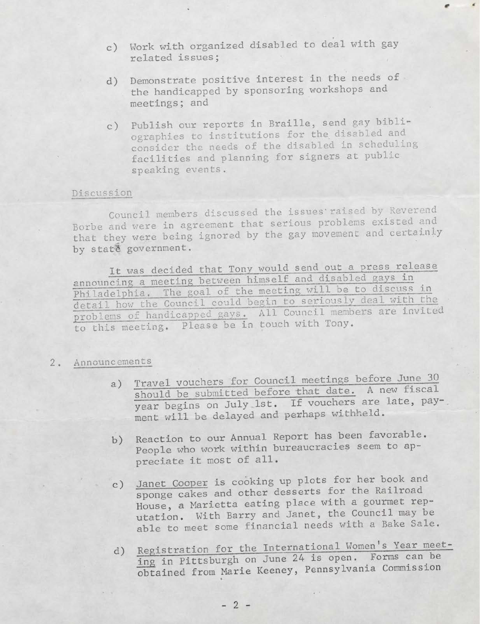- c) Work with organized disabled to deal with gay related issues;
- d) Demonstrate positive interest in the needs of the handicapped by sponsoring workshops and meetings; and
- c) Publish our reports in Braille, send gay bibliographies to institutions for the disabled and consider the needs of the disabled in scheduling facilities and planning for signers at public speaking events.

#### Discussion

Council members discussed the issues'raised by Reverend Borbe and were in agreement that serious problems existed and that they were being ignored by the gay movement and certainly by state government.

It was decided that Tony would send out a press release announcing a meeting between himself and disabled gays in Philadelphia. The goal of the meeting will be to discuss in detail how the Council could begin to seriously deal with the problems of handicapped gays." All Council members are invited to this meeting. Please be in touch with Tony.

#### 2. Announcements

- a) Travel vouchers for Council meetings before June *3Q* should be submitted before that date. A new fiscal year begins on July 1st. If vouchers are late, pay-, ment will be delayed and perhaps withheld.
- b) Reaction to our Annual Report has been favorable. People who work within bureaucracies seem to appreciate it most of all.
- el Janet Cooper is cooking up plots for her book and sponge cakes and other desserts for the Railroad House, a Marietta eating place with a gourmet reputation. With Barry and Janet, the Council may be able to meet some financial needs with a Bake Sale.
- d) Registration for the International Women's Year meeting in Pittsburgh on June 24 is open. Forms can be obtained from Marie Keeney, Pennsylvania Commission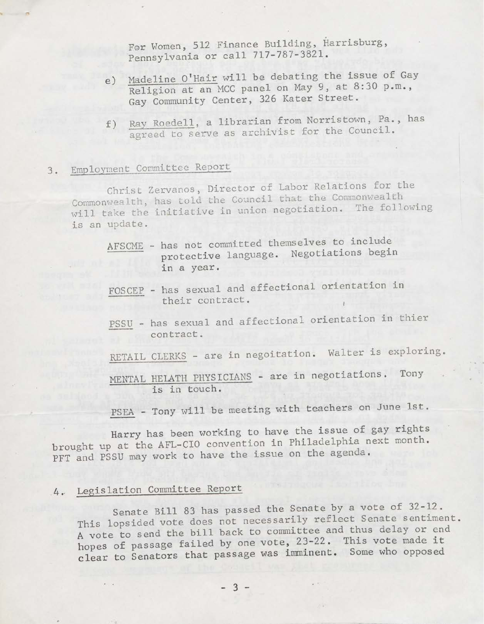For Women, 512 Finance Building, Harrisburg, Pennsylvania or call 717-787-3821.

- e) Madeline <sup>O</sup>'Hair will be debating the issue of Gay Religion at an MCC panel on May 9, at 8:30 p.m., Gay Community Center, 326 Kater Street.
- f) Ray Roedell, a librarian from Norristown, Pa., has agreed to serve as archivist for the Council.

# 3. Employment Committee Report

Christ Zervanos, Director of Labor Relations for the Commonwealth, has told the Council that the Commonwealth will take the initiative in union negotiation. The following is an update.

- AFSCME has not committed themselves to include protective language. Negotiations begin in a year.
- FOSCEP has sexual and affectional orientation in their contract.
- PSSU has sexual and affectional orientation in thier contract.
- RETAIL CLERKS are in negoitation. Walter is exploring.
- MENTAL HELATH PHYSICIANS are in negotiations. Tony is in touch.
- PSEA Tony will be meeting with teachers on June 1st.

Harry has been working to have the issue of gay rights brought up at the AFL-CIO convention in Philadelphia next month. PFT and PSSU may work to have the issue on the agenda.

### 4., Legislation Committee Report

Senate Bill <sup>83</sup> has passed the Senate by a vote of 32-12. This lopsided vote does not necessarily reflect Senate sentiment. <sup>A</sup> vote to send the bill back to committee and thus delay or end hopes of passage failed by one vote, 23-22. This vote made it clear to Senators that passage was imminent. Some who opposed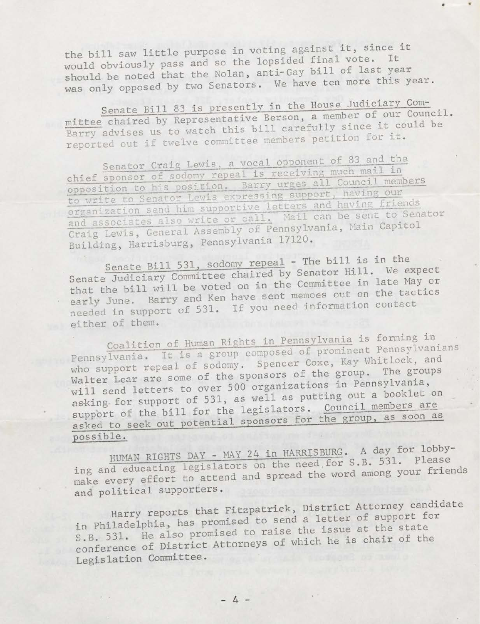the bill saw little purpose in voting against it, since it would obviously pass and so the lopsided final vote. It should be noted that the Nolan, anti-Gay bill of last year was only opposed by two Senators. We have ten more this year.

mittee chaired by Representative Berson, a member of our Council. mittee chaired by Representative Berson, a member of our council<br>Barry advises us to watch this bill carefully since it could be Barry advises us to watch this bill carefully since to Senate Bill <sup>83</sup> is <sup>p</sup>resently in rhe House Judici^y,^ ------ - ~\_\_\_<sup>a</sup> member oi our council.

Senator Craig Lewis, a vocal opponent of 83 and the Senator Craig Lewis, a vocal opposition much mail in chief sponsor of sodomy repeal is receiving much mail in<br>opposition to his position. Barry urges all Council members to write to Senator Lewis expressing support, having our organization send him supportive letters and having friends<br>and associates also write or call. Mail can be sent to Senator and associates also write or cail. Thair can be the Capitol<br>Craig Lewis, General Assembly of Pennsylvania, Main Capitol<br>Drilding, Harrisburg, Pennsylvania 17120. organization send him supportive letters and having friends Craig Lewis, General Assembly Building, Harrisburg, Pennsylvania 17120.

Senate Bill 531, sodomy repeal - The bill is in the Senate Bill 531, sodomy repeal - The bill is in the<br>Ludisian Committee chaired by Senator Hill. We expect Senate Judiciary Committee chaired by Senator Hill. He say or that the bill will be voted on in the Committee in fact in the control. early June. Barry and Ken nave sent membes out on 1111.<br>needed in support of 531. If you need information contact Senate Judiciary Committee chaired by Senator Hill either of them.

Coalition of Human Rights in Pennsylvania is forming in Coalition of Human Rights in Pennsylvania 15 Termsylvanians<br>Pennsylvania. It is a group composed of prominent Pennsylvanians Pennsylvania. It is a group composed of coxe, Kay Whitlock, and who support repeal of southly. Spensors of the group. The groups support of the bill for the legislators. Coddition as soon as vill send letters to over <sup>500</sup> organizations in Pennsylvania asking for support of 531, as well as putting out a booklet on<br>support of the bill for the legislators. Council members are possible.

HUMAN RIGHTS DAY - MAY 24 in HARRISBURG. A day for lobby-<br>ing and educating legislators on the need for S.B. 531. Please make every effort to attend and spread the word among your friends<br>and political supporters.

Harry reports that Fitzpatrick, District Attorney candidate in Philadelphia, has promised to send a letter of support for in Philadelphia, has promised to send a recover at the state S.B. 531. He also promised to raise the issue at the search conference of District Attorneys of which he is chair of the Legislation Committee.

 $-4-$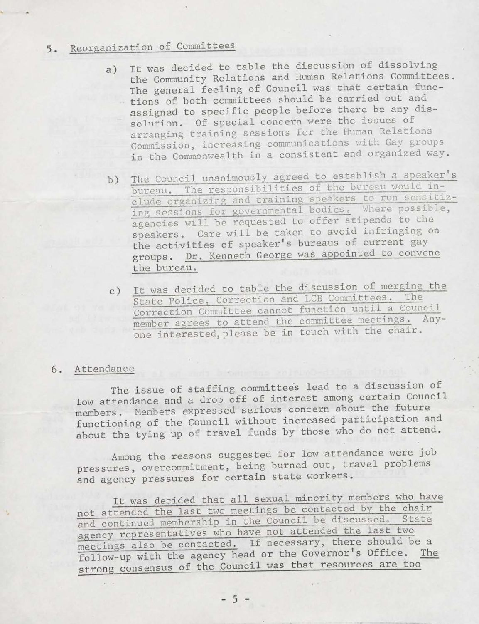## 5. Reorganization of Committees

- a) It was decided to table the discussion of dissolving the Community Relations and Human Relations Committees. The general feeling of Council was that certain functions of both committees should be carried out and assigned to specific people before there be any dissolution. Of special concern were the issues of arranging training sessions for the Human Relations Commission, increasing communications with Gay gxoups in the Commonwealth in a consistent and organized way.
- b) The Council unanimously agreed to establish a speaker's bureau. The responsibilities of the bureau would include organizing and training speakers to run sensitizing sessions for governmental bodies. Where possible, agencies will be requested to offer Stipends to the speakers. Care will be taken to avoid infringing on the activities of speaker's bureaus of current gay groups. Dr. Kenneth George was appointed to convene the bureau.
- c) It was decided to table the discussion of merging the State Police, Correction and LCB Committees. The Correction Committee cannot function until <sup>a</sup> Council member agrees to attend the committee meetings. Anyone interested,please be in touch with the chair.

#### 6. Attendance

 $\sim$ 

The issue of staffing committees lead to a discussion of low attendance and a drop off of interest among certain Council members. Members expressed serious concern about the future functioning of the Council without increased participation and about the tying up of travel funds by those who do not attend.

Among the reasons suggested for low attendance were job pressures, overcommitment, being burned out, travel problems and agency pressures for certain state workers.

It was decided that all sexual minority members who have not attended the last two meetings be contacted by the chair and continued membership in the Council be discussed. State agency representatives who have not attended the last two meetings also be contacted. If necessary, there should be a follow-up with the agency head or the Governor's Office. The strong consensus of the Council was that resources are too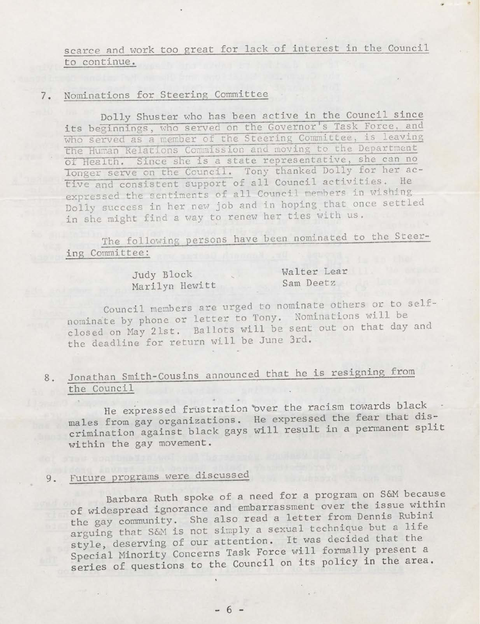scarce and work too great for lack of interest in the Council to continue.

#### 7. Nominations for Steering Committee

Dolly Shuster who has been active in the Council since its beginnings, who served on the Governor's Task Force, and who served as a member of the Steering Committee, is leaving the Human Relations Commission and moving to the Department oT Health. Since she is a state representative, she can no longer serve on the Council. Tony thanked Dolly for her active and consistent support of all Council activities. He expressed the sentiments of all Council members in wishing Dolly success in her new job and in hoping that once settled in she might find a way to renew her ties with us.

The following persons have been nominated to the Steering Committee:

> Judy Block Walter Lear<br>
> Marilyn Hewitt Sam Deetz Marilyn Hewitt

Council members are urged to nominate others or to selfnominate by phone or letter to Tony. Nominations will be closed on May 21st. Ballots will be sent out on that day and the deadline for return will be June 3rd.

## 8. Jonathan Smith-Cousins announced that he is resigning from the Council

He expressed frustration 'over the racism towards black males from gay organizations. He expressed the fear that discrimination against black gays will result in a permanent spli within the gay movement.

## 9, Future programs were discussed

Barbara Ruth spoke of a need for a program on S&M because of widespread ignorance and embarrassment over the issue within the gay community. She also read a letter from Dennis Rubini arguing that S&M is not simply <sup>a</sup> sexual technique but <sup>a</sup> life style, deserving of our attention. It was decided that the Special Minority Concerns Task Force will formally present a series of questions to the Council on its policy in the area.